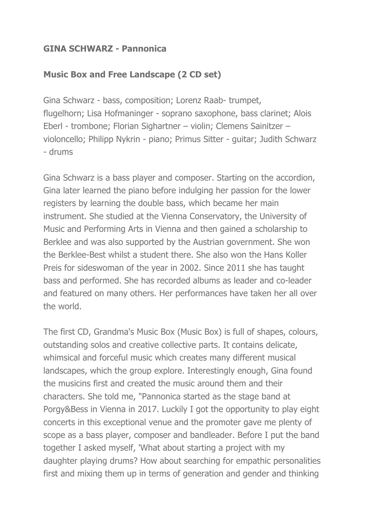## **GINA SCHWARZ - Pannonica**

## **Music Box and Free Landscape (2 CD set)**

Gina Schwarz - bass, composition; Lorenz Raab- trumpet, flugelhorn; Lisa Hofmaninger - soprano saxophone, bass clarinet; Alois Eberl - trombone; Florian Sighartner – violin; Clemens Sainitzer – violoncello; Philipp Nykrin - piano; Primus Sitter - guitar; Judith Schwarz - drums

Gina Schwarz is a bass player and composer. Starting on the accordion, Gina later learned the piano before indulging her passion for the lower registers by learning the double bass, which became her main instrument. She studied at the Vienna Conservatory, the University of Music and Performing Arts in Vienna and then gained a scholarship to Berklee and was also supported by the Austrian government. She won the Berklee-Best whilst a student there. She also won the Hans Koller Preis for sideswoman of the year in 2002. Since 2011 she has taught bass and performed. She has recorded albums as leader and co-leader and featured on many others. Her performances have taken her all over the world.

The first CD, Grandma's Music Box (Music Box) is full of shapes, colours, outstanding solos and creative collective parts. It contains delicate, whimsical and forceful music which creates many different musical landscapes, which the group explore. Interestingly enough, Gina found the musicins first and created the music around them and their characters. She told me, "Pannonica started as the stage band at Porgy&Bess in Vienna in 2017. Luckily I got the opportunity to play eight concerts in this exceptional venue and the promoter gave me plenty of scope as a bass player, composer and bandleader. Before I put the band together I asked myself, 'What about starting a project with my daughter playing drums? How about searching for empathic personalities first and mixing them up in terms of generation and gender and thinking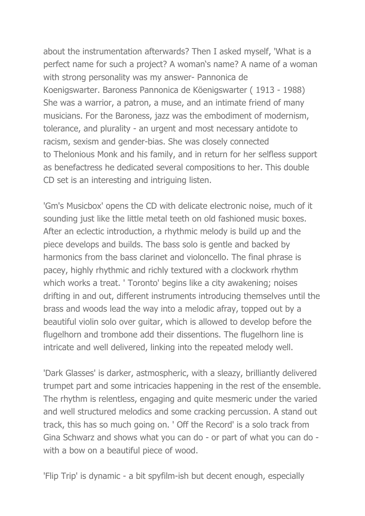about the instrumentation afterwards? Then I asked myself, 'What is a perfect name for such a project? A woman's name? A name of a woman with strong personality was my answer- Pannonica de Koenigswarter. Baroness Pannonica de Köenigswarter ( 1913 - 1988) She was a warrior, a patron, a muse, and an intimate friend of many musicians. For the Baroness, jazz was the embodiment of modernism, tolerance, and plurality - an urgent and most necessary antidote to racism, sexism and gender-bias. She was closely connected to Thelonious Monk and his family, and in return for her selfless support as benefactress he dedicated several compositions to her. This double CD set is an interesting and intriguing listen.

'Gm's Musicbox' opens the CD with delicate electronic noise, much of it sounding just like the little metal teeth on old fashioned music boxes. After an eclectic introduction, a rhythmic melody is build up and the piece develops and builds. The bass solo is gentle and backed by harmonics from the bass clarinet and violoncello. The final phrase is pacey, highly rhythmic and richly textured with a clockwork rhythm which works a treat. ' Toronto' begins like a city awakening; noises drifting in and out, different instruments introducing themselves until the brass and woods lead the way into a melodic afray, topped out by a beautiful violin solo over guitar, which is allowed to develop before the flugelhorn and trombone add their dissentions. The flugelhorn line is intricate and well delivered, linking into the repeated melody well.

'Dark Glasses' is darker, astmospheric, with a sleazy, brilliantly delivered trumpet part and some intricacies happening in the rest of the ensemble. The rhythm is relentless, engaging and quite mesmeric under the varied and well structured melodics and some cracking percussion. A stand out track, this has so much going on. ' Off the Record' is a solo track from Gina Schwarz and shows what you can do - or part of what you can do with a bow on a beautiful piece of wood.

'Flip Trip' is dynamic - a bit spyfilm-ish but decent enough, especially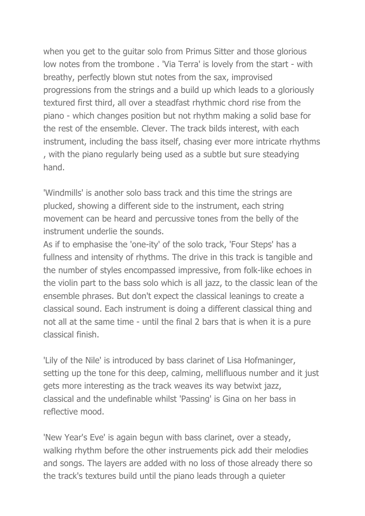when you get to the guitar solo from Primus Sitter and those glorious low notes from the trombone . 'Via Terra' is lovely from the start - with breathy, perfectly blown stut notes from the sax, improvised progressions from the strings and a build up which leads to a gloriously textured first third, all over a steadfast rhythmic chord rise from the piano - which changes position but not rhythm making a solid base for the rest of the ensemble. Clever. The track bilds interest, with each instrument, including the bass itself, chasing ever more intricate rhythms , with the piano regularly being used as a subtle but sure steadying hand.

'Windmills' is another solo bass track and this time the strings are plucked, showing a different side to the instrument, each string movement can be heard and percussive tones from the belly of the instrument underlie the sounds.

As if to emphasise the 'one-ity' of the solo track, 'Four Steps' has a fullness and intensity of rhythms. The drive in this track is tangible and the number of styles encompassed impressive, from folk-like echoes in the violin part to the bass solo which is all jazz, to the classic lean of the ensemble phrases. But don't expect the classical leanings to create a classical sound. Each instrument is doing a different classical thing and not all at the same time - until the final 2 bars that is when it is a pure classical finish.

'Lily of the Nile' is introduced by bass clarinet of Lisa Hofmaninger, setting up the tone for this deep, calming, mellifluous number and it just gets more interesting as the track weaves its way betwixt jazz, classical and the undefinable whilst 'Passing' is Gina on her bass in reflective mood.

'New Year's Eve' is again begun with bass clarinet, over a steady, walking rhythm before the other instruements pick add their melodies and songs. The layers are added with no loss of those already there so the track's textures build until the piano leads through a quieter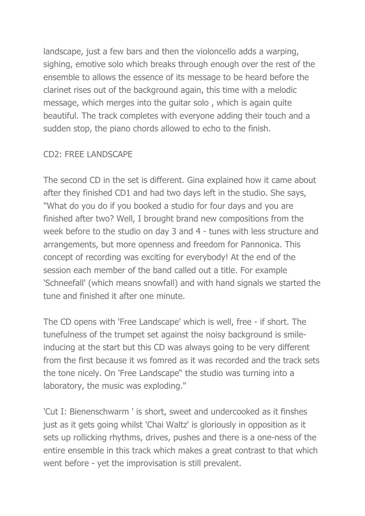landscape, just a few bars and then the violoncello adds a warping, sighing, emotive solo which breaks through enough over the rest of the ensemble to allows the essence of its message to be heard before the clarinet rises out of the background again, this time with a melodic message, which merges into the guitar solo , which is again quite beautiful. The track completes with everyone adding their touch and a sudden stop, the piano chords allowed to echo to the finish.

## CD2: FREE LANDSCAPE

The second CD in the set is different. Gina explained how it came about after they finished CD1 and had two days left in the studio. She says, "What do you do if you booked a studio for four days and you are finished after two? Well, I brought brand new compositions from the week before to the studio on day 3 and 4 - tunes with less structure and arrangements, but more openness and freedom for Pannonica. This concept of recording was exciting for everybody! At the end of the session each member of the band called out a title. For example 'Schneefall' (which means snowfall) and with hand signals we started the tune and finished it after one minute.

The CD opens with 'Free Landscape' which is well, free - if short. The tunefulness of the trumpet set against the noisy background is smileinducing at the start but this CD was always going to be very different from the first because it ws fomred as it was recorded and the track sets the tone nicely. On 'Free Landscape" the studio was turning into a laboratory, the music was exploding."

'Cut I: Bienenschwarm ' is short, sweet and undercooked as it finshes just as it gets going whilst 'Chai Waltz' is gloriously in opposition as it sets up rollicking rhythms, drives, pushes and there is a one-ness of the entire ensemble in this track which makes a great contrast to that which went before - yet the improvisation is still prevalent.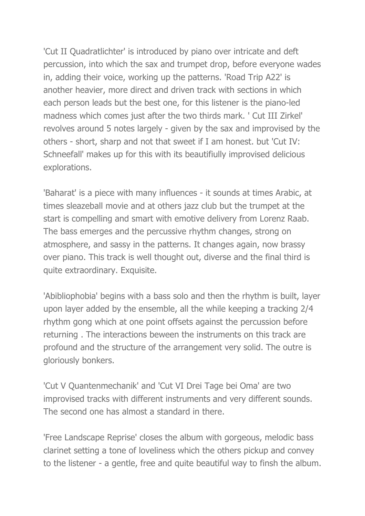'Cut II Quadratlichter' is introduced by piano over intricate and deft percussion, into which the sax and trumpet drop, before everyone wades in, adding their voice, working up the patterns. 'Road Trip A22' is another heavier, more direct and driven track with sections in which each person leads but the best one, for this listener is the piano-led madness which comes just after the two thirds mark. ' Cut III Zirkel' revolves around 5 notes largely - given by the sax and improvised by the others - short, sharp and not that sweet if I am honest. but 'Cut IV: Schneefall' makes up for this with its beautifiully improvised delicious explorations.

'Baharat' is a piece with many influences - it sounds at times Arabic, at times sleazeball movie and at others jazz club but the trumpet at the start is compelling and smart with emotive delivery from Lorenz Raab. The bass emerges and the percussive rhythm changes, strong on atmosphere, and sassy in the patterns. It changes again, now brassy over piano. This track is well thought out, diverse and the final third is quite extraordinary. Exquisite.

'Abibliophobia' begins with a bass solo and then the rhythm is built, layer upon layer added by the ensemble, all the while keeping a tracking 2/4 rhythm gong which at one point offsets against the percussion before returning . The interactions beween the instruments on this track are profound and the structure of the arrangement very solid. The outre is gloriously bonkers.

'Cut V Quantenmechanik' and 'Cut VI Drei Tage bei Oma' are two improvised tracks with different instruments and very different sounds. The second one has almost a standard in there.

'Free Landscape Reprise' closes the album with gorgeous, melodic bass clarinet setting a tone of loveliness which the others pickup and convey to the listener - a gentle, free and quite beautiful way to finsh the album.